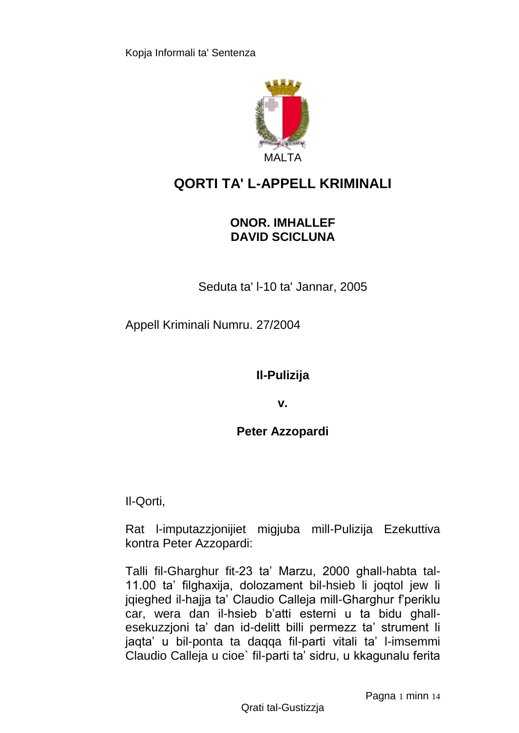

# **QORTI TA' L-APPELL KRIMINALI**

## **ONOR. IMHALLEF DAVID SCICLUNA**

Seduta ta' l-10 ta' Jannar, 2005

Appell Kriminali Numru. 27/2004

**Il-Pulizija**

**v.**

**Peter Azzopardi**

Il-Qorti,

Rat l-imputazzjonijiet migjuba mill-Pulizija Ezekuttiva kontra Peter Azzopardi:

Talli fil-Gharghur fit-23 ta' Marzu, 2000 ghall-habta tal-11.00 ta' filghaxija, dolozament bil-hsieb li joqtol jew li jqieghed il-hajja ta' Claudio Calleja mill-Gharghur f'periklu car, wera dan il-hsieb b'atti esterni u ta bidu ghallesekuzzjoni ta' dan id-delitt billi permezz ta' strument li jaqta' u bil-ponta ta daqqa fil-parti vitali ta' l-imsemmi Claudio Calleja u cioe` fil-parti ta' sidru, u kkagunalu ferita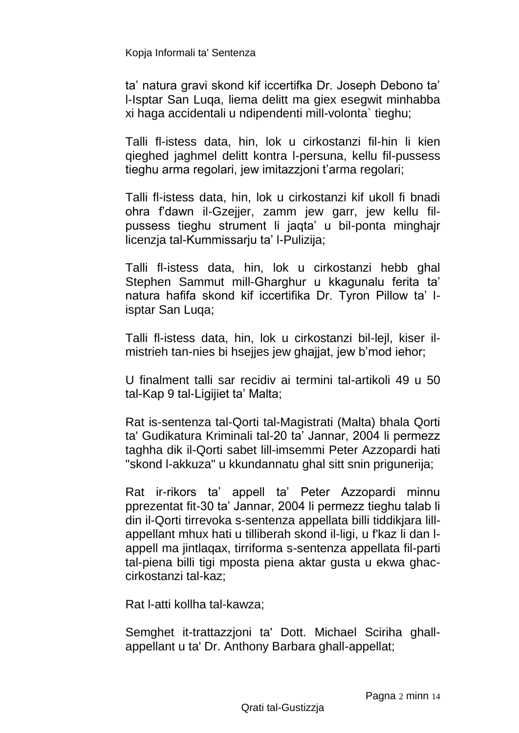ta' natura gravi skond kif iccertifka Dr. Joseph Debono ta' l-Isptar San Luqa, liema delitt ma giex esegwit minhabba xi haga accidentali u ndipendenti mill-volonta` tieghu;

Talli fl-istess data, hin, lok u cirkostanzi fil-hin li kien qieghed jaghmel delitt kontra l-persuna, kellu fil-pussess tieghu arma regolari, jew imitazzjoni t'arma regolari;

Talli fl-istess data, hin, lok u cirkostanzi kif ukoll fi bnadi ohra f'dawn il-Gzejjer, zamm jew garr, jew kellu filpussess tieghu strument li jaqta' u bil-ponta minghajr licenzja tal-Kummissarju ta' l-Pulizija;

Talli fl-istess data, hin, lok u cirkostanzi hebb ghal Stephen Sammut mill-Gharghur u kkagunalu ferita ta' natura hafifa skond kif iccertifika Dr. Tyron Pillow ta' lisptar San Luqa;

Talli fl-istess data, hin, lok u cirkostanzi bil-lejl, kiser ilmistrieh tan-nies bi hsejjes jew ghajjat, jew b'mod iehor;

U finalment talli sar recidiv ai termini tal-artikoli 49 u 50 tal-Kap 9 tal-Ligijiet ta' Malta;

Rat is-sentenza tal-Qorti tal-Magistrati (Malta) bhala Qorti ta' Gudikatura Kriminali tal-20 ta' Jannar, 2004 li permezz taghha dik il-Qorti sabet lill-imsemmi Peter Azzopardi hati "skond l-akkuza" u kkundannatu ghal sitt snin prigunerija;

Rat ir-rikors ta' appell ta' Peter Azzopardi minnu pprezentat fit-30 ta' Jannar, 2004 li permezz tieghu talab li din il-Qorti tirrevoka s-sentenza appellata billi tiddikjara lillappellant mhux hati u tilliberah skond il-ligi, u f'kaz li dan lappell ma jintlaqax, tirriforma s-sentenza appellata fil-parti tal-piena billi tigi mposta piena aktar gusta u ekwa ghaccirkostanzi tal-kaz;

Rat l-atti kollha tal-kawza;

Semghet it-trattazzjoni ta' Dott. Michael Sciriha ghallappellant u ta' Dr. Anthony Barbara ghall-appellat;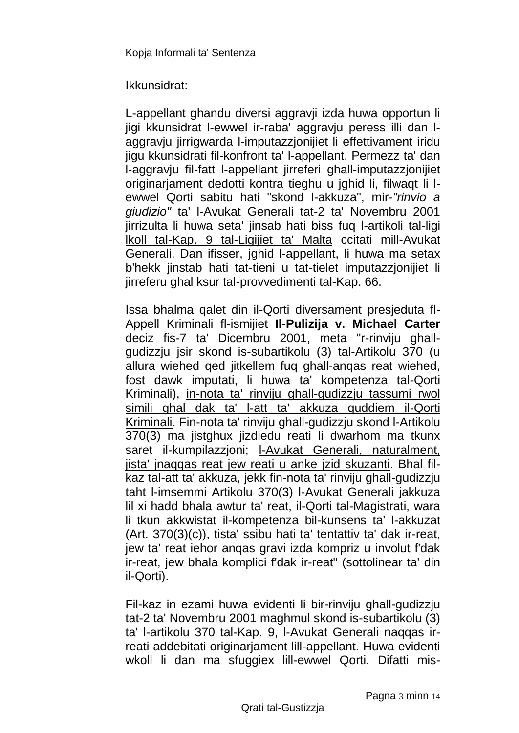Ikkunsidrat:

L-appellant ghandu diversi aggravji izda huwa opportun li jigi kkunsidrat l-ewwel ir-raba' aggravju peress illi dan laggraviu jirrigwarda l-imputazzionijiet li effettivament iridu jigu kkunsidrati fil-konfront ta' l-appellant. Permezz ta' dan l-aggravju fil-fatt l-appellant jirreferi ghall-imputazzjonijiet originarjament dedotti kontra tieghu u jghid li, filwaqt li lewwel Qorti sabitu hati "skond l-akkuza", mir-*"rinvio a giudizio"* ta' l-Avukat Generali tat-2 ta' Novembru 2001 jirrizulta li huwa seta' jinsab hati biss fuq l-artikoli tal-ligi lkoll tal-Kap. 9 tal-Ligijiet ta' Malta ccitati mill-Avukat Generali. Dan ifisser, jghid l-appellant, li huwa ma setax b'hekk jinstab hati tat-tieni u tat-tielet imputazzjonijiet li jirreferu ghal ksur tal-provvedimenti tal-Kap. 66.

Issa bhalma qalet din il-Qorti diversament presjeduta fl-Appell Kriminali fl-ismijiet **Il-Pulizija v. Michael Carter**  deciz fis-7 ta' Dicembru 2001, meta "r-rinviju ghallgudizzju jsir skond is-subartikolu (3) tal-Artikolu 370 (u allura wiehed qed jitkellem fuq ghall-anqas reat wiehed, fost dawk imputati, li huwa ta' kompetenza tal-Qorti Kriminali), in-nota ta' rinviju ghall-gudizzju tassumi rwol simili ghal dak ta' l-att ta' akkuza quddiem il-Qorti Kriminali. Fin-nota ta' rinviju ghall-gudizzju skond l-Artikolu 370(3) ma jistghux jizdiedu reati li dwarhom ma tkunx saret il-kumpilazzjoni; l-Avukat Generali, naturalment, jista' jnaqqas reat jew reati u anke jzid skuzanti. Bhal filkaz tal-att ta' akkuza, jekk fin-nota ta' rinviju ghall-gudizzju taht l-imsemmi Artikolu 370(3) l-Avukat Generali jakkuza lil xi hadd bhala awtur ta' reat, il-Qorti tal-Magistrati, wara li tkun akkwistat il-kompetenza bil-kunsens ta' l-akkuzat (Art. 370(3)(c)), tista' ssibu hati ta' tentattiv ta' dak ir-reat, jew ta' reat iehor anqas gravi izda kompriz u involut f'dak ir-reat, jew bhala komplici f'dak ir-reat" (sottolinear ta' din il-Qorti).

Fil-kaz in ezami huwa evidenti li bir-rinviju ghall-gudizzju tat-2 ta' Novembru 2001 maghmul skond is-subartikolu (3) ta' l-artikolu 370 tal-Kap. 9, l-Avukat Generali naqqas irreati addebitati originarjament lill-appellant. Huwa evidenti wkoll li dan ma sfuggiex lill-ewwel Qorti. Difatti mis-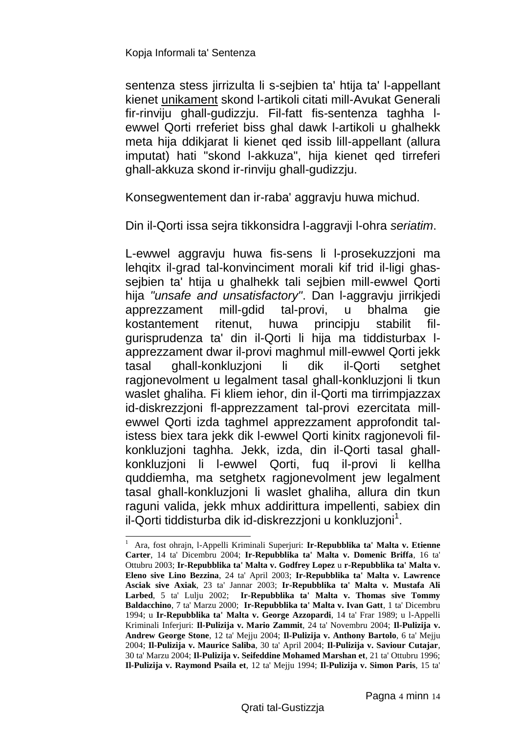-

sentenza stess jirrizulta li s-sejbien ta' htija ta' l-appellant kienet unikament skond l-artikoli citati mill-Avukat Generali fir-rinviju ghall-gudizzju. Fil-fatt fis-sentenza taghha lewwel Qorti rreferiet biss ghal dawk l-artikoli u ghalhekk meta hija ddikjarat li kienet qed issib lill-appellant (allura imputat) hati "skond l-akkuza", hija kienet qed tirreferi ghall-akkuza skond ir-rinviju ghall-gudizzju.

Konsegwentement dan ir-raba' aggravju huwa michud.

Din il-Qorti issa sejra tikkonsidra l-aggravji l-ohra *seriatim*.

L-ewwel aggravju huwa fis-sens li l-prosekuzzjoni ma lehqitx il-grad tal-konvinciment morali kif trid il-ligi ghassejbien ta' htija u ghalhekk tali sejbien mill-ewwel Qorti hija *"unsafe and unsatisfactory"*. Dan l-aggravju jirrikjedi apprezzament mill-gdid tal-provi, u bhalma gie kostantement ritenut, huwa principju stabilit filgurisprudenza ta' din il-Qorti li hija ma tiddisturbax lapprezzament dwar il-provi maghmul mill-ewwel Qorti jekk tasal ghall-konkluzjoni li dik il-Qorti setghet ragjonevolment u legalment tasal ghall-konkluzjoni li tkun waslet ghaliha. Fi kliem iehor, din il-Qorti ma tirrimpjazzax id-diskrezzjoni fl-apprezzament tal-provi ezercitata millewwel Qorti izda taghmel apprezzament approfondit talistess biex tara jekk dik l-ewwel Qorti kinitx ragjonevoli filkonkluzjoni taghha. Jekk, izda, din il-Qorti tasal ghallkonkluzjoni li l-ewwel Qorti, fuq il-provi li kellha quddiemha, ma setghetx ragjonevolment jew legalment tasal ghall-konkluzjoni li waslet ghaliha, allura din tkun raguni valida, jekk mhux addirittura impellenti, sabiex din il-Qorti tiddisturba dik id-diskrezzjoni u konkluzjoni<sup>1</sup>.

<sup>1</sup> Ara, fost ohrajn, l-Appelli Kriminali Superjuri: **Ir-Repubblika ta' Malta v. Etienne Carter**, 14 ta' Dicembru 2004; **Ir-Repubblika ta' Malta v. Domenic Briffa**, 16 ta' Ottubru 2003; **Ir-Repubblika ta' Malta v. Godfrey Lopez** u **r-Repubblika ta' Malta v. Eleno sive Lino Bezzina**, 24 ta' April 2003; **Ir-Repubblika ta' Malta v. Lawrence Asciak sive Axiak**, 23 ta' Jannar 2003; **Ir-Repubblika ta' Malta v. Mustafa Ali Larbed**, 5 ta' Lulju 2002; **Ir-Repubblika ta' Malta v. Thomas sive Tommy Baldacchino**, 7 ta' Marzu 2000; **Ir-Repubblika ta' Malta v. Ivan Gatt**, 1 ta' Dicembru 1994; u **Ir-Repubblika ta' Malta v. George Azzopardi**, 14 ta' Frar 1989; u l-Appelli Kriminali Inferjuri: **Il-Pulizija v. Mario Zammit**, 24 ta' Novembru 2004; **Il-Pulizija v. Andrew George Stone**, 12 ta' Mejju 2004; **Il-Pulizija v. Anthony Bartolo**, 6 ta' Mejju 2004; **Il-Pulizija v. Maurice Saliba**, 30 ta' April 2004; **Il-Pulizija v. Saviour Cutajar**, 30 ta' Marzu 2004; **Il-Pulizija v. Seifeddine Mohamed Marshan et**, 21 ta' Ottubru 1996; **Il-Pulizija v. Raymond Psaila et**, 12 ta' Mejju 1994; **Il-Pulizija v. Simon Paris**, 15 ta'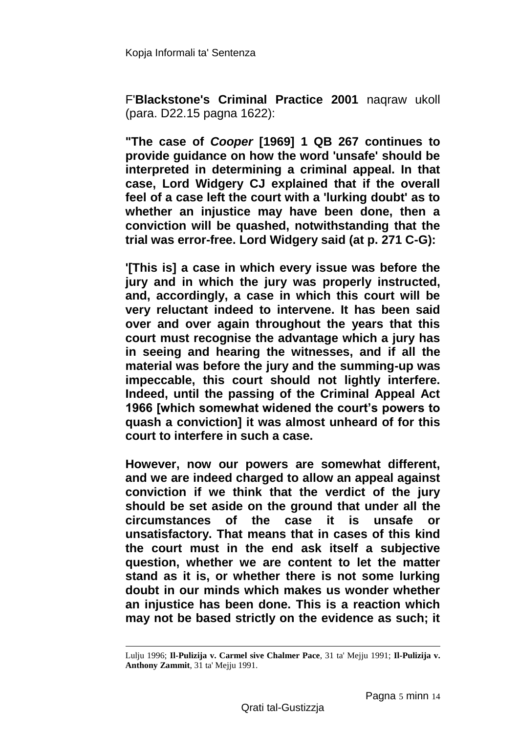F'**Blackstone's Criminal Practice 2001** naqraw ukoll (para. D22.15 pagna 1622):

**"The case of** *Cooper* **[1969] 1 QB 267 continues to provide guidance on how the word 'unsafe' should be interpreted in determining a criminal appeal. In that case, Lord Widgery CJ explained that if the overall feel of a case left the court with a 'lurking doubt' as to whether an injustice may have been done, then a conviction will be quashed, notwithstanding that the trial was error-free. Lord Widgery said (at p. 271 C-G):**

**'[This is] a case in which every issue was before the jury and in which the jury was properly instructed, and, accordingly, a case in which this court will be very reluctant indeed to intervene. It has been said over and over again throughout the years that this court must recognise the advantage which a jury has in seeing and hearing the witnesses, and if all the material was before the jury and the summing-up was impeccable, this court should not lightly interfere. Indeed, until the passing of the Criminal Appeal Act 1966 [which somewhat widened the court's powers to quash a conviction] it was almost unheard of for this court to interfere in such a case.**

**However, now our powers are somewhat different, and we are indeed charged to allow an appeal against conviction if we think that the verdict of the jury should be set aside on the ground that under all the circumstances of the case it is unsafe or unsatisfactory. That means that in cases of this kind the court must in the end ask itself a subjective question, whether we are content to let the matter stand as it is, or whether there is not some lurking doubt in our minds which makes us wonder whether an injustice has been done. This is a reaction which may not be based strictly on the evidence as such; it** 

1

Lulju 1996; **Il-Pulizija v. Carmel sive Chalmer Pace**, 31 ta' Mejju 1991; **Il-Pulizija v. Anthony Zammit**, 31 ta' Mejju 1991.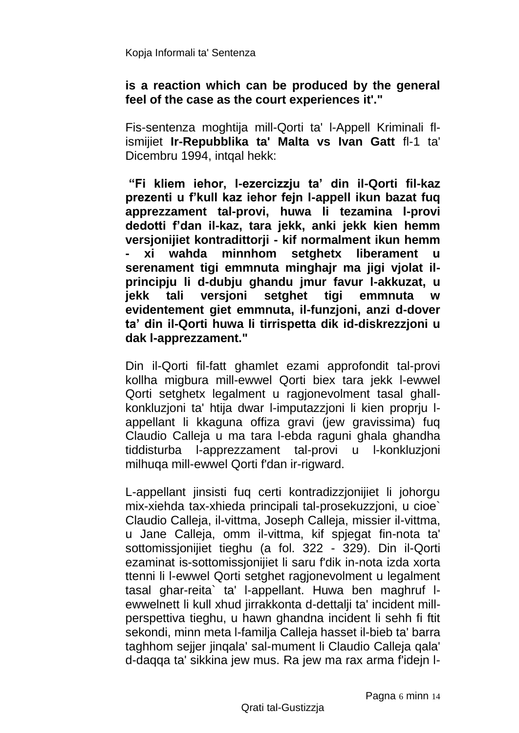#### **is a reaction which can be produced by the general feel of the case as the court experiences it'."**

Fis-sentenza moghtija mill-Qorti ta' l-Appell Kriminali flismijiet **Ir-Repubblika ta' Malta vs Ivan Gatt** fl-1 ta' Dicembru 1994, intqal hekk:

**"Fi kliem iehor, l-ezercizzju ta' din il-Qorti fil-kaz prezenti u f'kull kaz iehor fejn l-appell ikun bazat fuq apprezzament tal-provi, huwa li tezamina l-provi dedotti f'dan il-kaz, tara jekk, anki jekk kien hemm versjonijiet kontradittorji - kif normalment ikun hemm - xi wahda minnhom setghetx liberament u serenament tigi emmnuta minghajr ma jigi vjolat ilprincipju li d-dubju ghandu jmur favur l-akkuzat, u jekk tali versjoni setghet tigi emmnuta w evidentement giet emmnuta, il-funzjoni, anzi d-dover ta' din il-Qorti huwa li tirrispetta dik id-diskrezzjoni u dak l-apprezzament."**

Din il-Qorti fil-fatt ghamlet ezami approfondit tal-provi kollha migbura mill-ewwel Qorti biex tara jekk l-ewwel Qorti setghetx legalment u ragjonevolment tasal ghallkonkluzjoni ta' htija dwar l-imputazzjoni li kien proprju lappellant li kkaguna offiza gravi (jew gravissima) fuq Claudio Calleja u ma tara l-ebda raguni ghala ghandha tiddisturba l-apprezzament tal-provi u l-konkluzjoni milhuqa mill-ewwel Qorti f'dan ir-rigward.

L-appellant jinsisti fuq certi kontradizzjonijiet li johorgu mix-xiehda tax-xhieda principali tal-prosekuzzjoni, u cioe` Claudio Calleja, il-vittma, Joseph Calleja, missier il-vittma, u Jane Calleja, omm il-vittma, kif spjegat fin-nota ta' sottomissjonijiet tieghu (a fol. 322 - 329). Din il-Qorti ezaminat is-sottomissjonijiet li saru f'dik in-nota izda xorta ttenni li l-ewwel Qorti setghet ragjonevolment u legalment tasal ghar-reita` ta' l-appellant. Huwa ben maghruf lewwelnett li kull xhud jirrakkonta d-dettalji ta' incident millperspettiva tieghu, u hawn ghandna incident li sehh fi ftit sekondi, minn meta l-familja Calleja hasset il-bieb ta' barra taghhom sejjer jinqala' sal-mument li Claudio Calleja qala' d-daqqa ta' sikkina jew mus. Ra jew ma rax arma f'idejn l-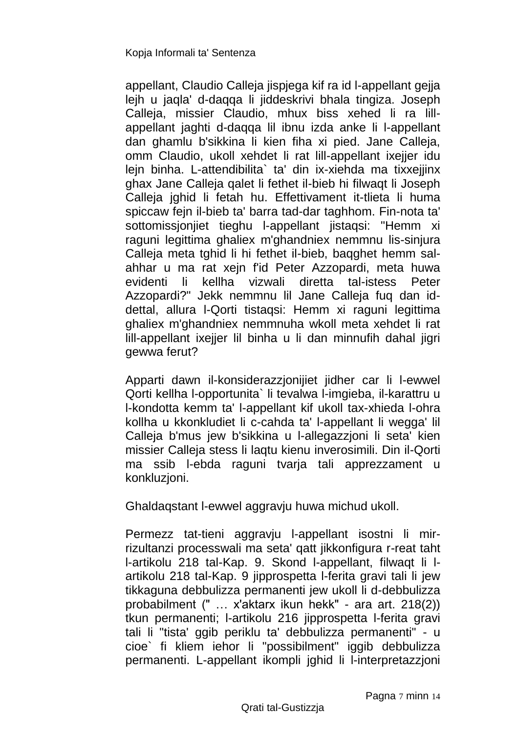appellant, Claudio Calleja jispjega kif ra id l-appellant gejja lejh u jaqla' d-daqqa li jiddeskrivi bhala tingiza. Joseph Calleja, missier Claudio, mhux biss xehed li ra lillappellant jaghti d-daqqa lil ibnu izda anke li l-appellant dan ghamlu b'sikkina li kien fiha xi pied. Jane Calleja, omm Claudio, ukoll xehdet li rat lill-appellant ixejjer idu lejn binha. L-attendibilita` ta' din ix-xiehda ma tixxejjinx ghax Jane Calleja qalet li fethet il-bieb hi filwaqt li Joseph Calleja jghid li fetah hu. Effettivament it-tlieta li huma spiccaw fejn il-bieb ta' barra tad-dar taghhom. Fin-nota ta' sottomissjonjiet tieghu l-appellant jistaqsi: "Hemm xi raguni legittima ghaliex m'ghandniex nemmnu lis-sinjura Calleja meta tghid li hi fethet il-bieb, baqghet hemm salahhar u ma rat xejn f'id Peter Azzopardi, meta huwa evidenti li kellha vizwali diretta tal-istess Peter Azzopardi?" Jekk nemmnu lil Jane Calleja fuq dan iddettal, allura l-Qorti tistaqsi: Hemm xi raguni legittima ghaliex m'ghandniex nemmnuha wkoll meta xehdet li rat lill-appellant ixejjer lil binha u li dan minnufih dahal jigri gewwa ferut?

Apparti dawn il-konsiderazzjonijiet jidher car li l-ewwel Qorti kellha l-opportunita` li tevalwa l-imgieba, il-karattru u l-kondotta kemm ta' l-appellant kif ukoll tax-xhieda l-ohra kollha u kkonkludiet li c-cahda ta' l-appellant li wegga' lil Calleja b'mus jew b'sikkina u l-allegazzjoni li seta' kien missier Calleja stess li laqtu kienu inverosimili. Din il-Qorti ma ssib l-ebda raguni tvarja tali apprezzament u konkluzjoni.

Ghaldaqstant l-ewwel aggravju huwa michud ukoll.

Permezz tat-tieni aggravju l-appellant isostni li mirrizultanzi processwali ma seta' qatt jikkonfigura r-reat taht l-artikolu 218 tal-Kap. 9. Skond l-appellant, filwaqt li lartikolu 218 tal-Kap. 9 jipprospetta l-ferita gravi tali li jew tikkaguna debbulizza permanenti jew ukoll li d-debbulizza probabilment (" … x'aktarx ikun hekk" - ara art. 218(2)) tkun permanenti; l-artikolu 216 jipprospetta l-ferita gravi tali li "tista' ggib periklu ta' debbulizza permanenti" - u cioe` fi kliem iehor li "possibilment" iggib debbulizza permanenti. L-appellant ikompli jghid li l-interpretazzjoni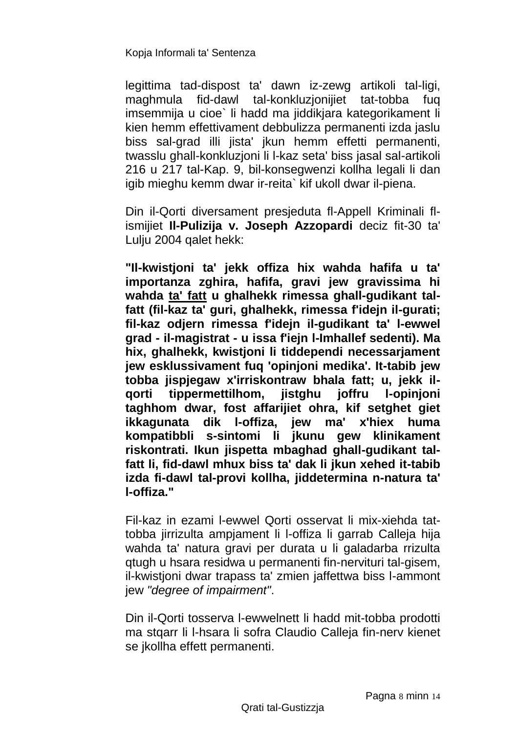legittima tad-dispost ta' dawn iz-zewg artikoli tal-ligi, maghmula fid-dawl tal-konkluzjonijiet tat-tobba fuq imsemmija u cioe` li hadd ma jiddikjara kategorikament li kien hemm effettivament debbulizza permanenti izda jaslu biss sal-grad illi jista' jkun hemm effetti permanenti, twasslu ghall-konkluzjoni li l-kaz seta' biss jasal sal-artikoli 216 u 217 tal-Kap. 9, bil-konsegwenzi kollha legali li dan igib mieghu kemm dwar ir-reita` kif ukoll dwar il-piena.

Din il-Qorti diversament presjeduta fl-Appell Kriminali flismijiet **Il-Pulizija v. Joseph Azzopardi** deciz fit-30 ta' Lulju 2004 qalet hekk:

**"Il-kwistjoni ta' jekk offiza hix wahda hafifa u ta' importanza zghira, hafifa, gravi jew gravissima hi wahda ta' fatt u ghalhekk rimessa ghall-gudikant talfatt (fil-kaz ta' guri, ghalhekk, rimessa f'idejn il-gurati; fil-kaz odjern rimessa f'idejn il-gudikant ta' l-ewwel grad - il-magistrat - u issa f'iejn l-Imhallef sedenti). Ma hix, ghalhekk, kwistjoni li tiddependi necessarjament jew esklussivament fuq 'opinjoni medika'. It-tabib jew tobba jispjegaw x'irriskontraw bhala fatt; u, jekk ilqorti tippermettilhom, jistghu joffru l-opinjoni taghhom dwar, fost affarijiet ohra, kif setghet giet ikkagunata dik l-offiza, jew ma' x'hiex huma kompatibbli s-sintomi li jkunu gew klinikament riskontrati. Ikun jispetta mbaghad ghall-gudikant talfatt li, fid-dawl mhux biss ta' dak li jkun xehed it-tabib izda fi-dawl tal-provi kollha, jiddetermina n-natura ta' l-offiza."**

Fil-kaz in ezami l-ewwel Qorti osservat li mix-xiehda tattobba jirrizulta ampjament li l-offiza li garrab Calleja hija wahda ta' natura gravi per durata u li galadarba rrizulta qtugh u hsara residwa u permanenti fin-nervituri tal-gisem, il-kwistjoni dwar trapass ta' zmien jaffettwa biss l-ammont jew *"degree of impairment"*.

Din il-Qorti tosserva l-ewwelnett li hadd mit-tobba prodotti ma stqarr li l-hsara li sofra Claudio Calleja fin-nerv kienet se jkollha effett permanenti.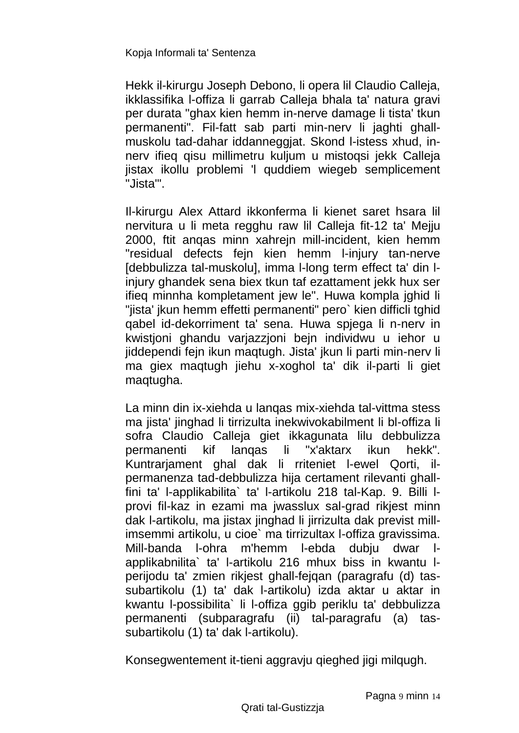Hekk il-kirurgu Joseph Debono, li opera lil Claudio Calleja, ikklassifika l-offiza li garrab Calleja bhala ta' natura gravi per durata "ghax kien hemm in-nerve damage li tista' tkun permanenti". Fil-fatt sab parti min-nerv li jaghti ghallmuskolu tad-dahar iddanneggjat. Skond l-istess xhud, innerv ifieq qisu millimetru kuljum u mistoqsi jekk Calleja jistax ikollu problemi 'l quddiem wiegeb semplicement "Jista'".

Il-kirurgu Alex Attard ikkonferma li kienet saret hsara lil nervitura u li meta regghu raw lil Calleja fit-12 ta' Mejju 2000, ftit anqas minn xahrejn mill-incident, kien hemm "residual defects fejn kien hemm l-injury tan-nerve [debbulizza tal-muskolu], imma l-long term effect ta' din linjury ghandek sena biex tkun taf ezattament jekk hux ser ifieq minnha kompletament jew le". Huwa kompla jghid li "jista' jkun hemm effetti permanenti" pero` kien difficli tghid qabel id-dekorriment ta' sena. Huwa spjega li n-nerv in kwistjoni ghandu varjazzjoni bejn individwu u iehor u jiddependi fejn ikun maqtugh. Jista' jkun li parti min-nerv li ma giex maqtugh jiehu x-xoghol ta' dik il-parti li giet maqtugha.

La minn din ix-xiehda u lanqas mix-xiehda tal-vittma stess ma jista' jinghad li tirrizulta inekwivokabilment li bl-offiza li sofra Claudio Calleja giet ikkagunata lilu debbulizza permanenti kif lanqas li "x'aktarx ikun hekk". Kuntrarjament ghal dak li rriteniet l-ewel Qorti, ilpermanenza tad-debbulizza hija certament rilevanti ghallfini ta' l-applikabilita` ta' l-artikolu 218 tal-Kap. 9. Billi lprovi fil-kaz in ezami ma jwasslux sal-grad rikjest minn dak l-artikolu, ma jistax jinghad li jirrizulta dak previst millimsemmi artikolu, u cioe` ma tirrizultax l-offiza gravissima. Mill-banda l-ohra m'hemm l-ebda dubju dwar lapplikabnilita` ta' l-artikolu 216 mhux biss in kwantu lperijodu ta' zmien rikjest ghall-fejqan (paragrafu (d) tassubartikolu (1) ta' dak l-artikolu) izda aktar u aktar in kwantu l-possibilita` li l-offiza ggib periklu ta' debbulizza permanenti (subparagrafu (ii) tal-paragrafu (a) tassubartikolu (1) ta' dak l-artikolu).

Konsegwentement it-tieni aggravju qieghed jigi milqugh.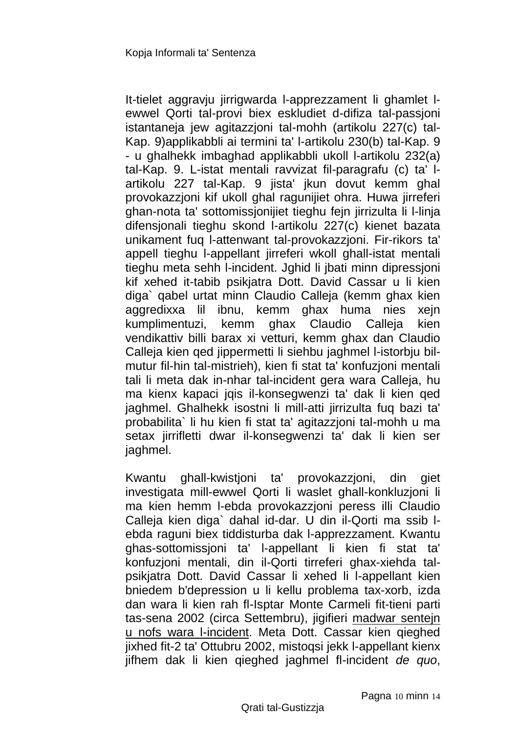It-tielet aggravju jirrigwarda l-apprezzament li ghamlet lewwel Qorti tal-provi biex eskludiet d-difiza tal-passjoni istantaneja jew agitazzjoni tal-mohh (artikolu 227(c) tal-Kap. 9)applikabbli ai termini ta' l-artikolu 230(b) tal-Kap. 9 - u ghalhekk imbaghad applikabbli ukoll l-artikolu 232(a) tal-Kap. 9. L-istat mentali ravvizat fil-paragrafu (c) ta' lartikolu 227 tal-Kap. 9 jista' jkun dovut kemm ghal provokazzjoni kif ukoll ghal ragunijiet ohra. Huwa jirreferi ghan-nota ta' sottomissjonijiet tieghu fejn jirrizulta li l-linja difensjonali tieghu skond l-artikolu 227(c) kienet bazata unikament fuq l-attenwant tal-provokazzjoni. Fir-rikors ta' appell tieghu l-appellant jirreferi wkoll ghall-istat mentali tieghu meta sehh l-incident. Jghid li jbati minn dipressjoni kif xehed it-tabib psikjatra Dott. David Cassar u li kien diga` qabel urtat minn Claudio Calleja (kemm ghax kien aggredixxa lil ibnu, kemm ghax huma nies xejn kumplimentuzi, kemm ghax Claudio Calleja kien vendikattiv billi barax xi vetturi, kemm ghax dan Claudio Calleja kien qed jippermetti li siehbu jaghmel l-istorbju bilmutur fil-hin tal-mistrieh), kien fi stat ta' konfuzjoni mentali tali li meta dak in-nhar tal-incident gera wara Calleja, hu ma kienx kapaci jqis il-konsegwenzi ta' dak li kien qed jaghmel. Ghalhekk isostni li mill-atti jirrizulta fuq bazi ta' probabilita` li hu kien fi stat ta' agitazzjoni tal-mohh u ma setax jirrifletti dwar il-konsegwenzi ta' dak li kien ser jaghmel.

Kwantu ghall-kwistjoni ta' provokazzjoni, din giet investigata mill-ewwel Qorti li waslet ghall-konkluzjoni li ma kien hemm l-ebda provokazzjoni peress illi Claudio Calleja kien diga` dahal id-dar. U din il-Qorti ma ssib lebda raguni biex tiddisturba dak l-apprezzament. Kwantu ghas-sottomissjoni ta' l-appellant li kien fi stat ta' konfuzjoni mentali, din il-Qorti tirreferi ghax-xiehda talpsikjatra Dott. David Cassar li xehed li l-appellant kien bniedem b'depression u li kellu problema tax-xorb, izda dan wara li kien rah fl-Isptar Monte Carmeli fit-tieni parti tas-sena 2002 (circa Settembru), jigifieri madwar sentejn u nofs wara l-incident. Meta Dott. Cassar kien qieghed jixhed fit-2 ta' Ottubru 2002, mistoqsi jekk l-appellant kienx jifhem dak li kien qieghed jaghmel fl-incident *de quo*,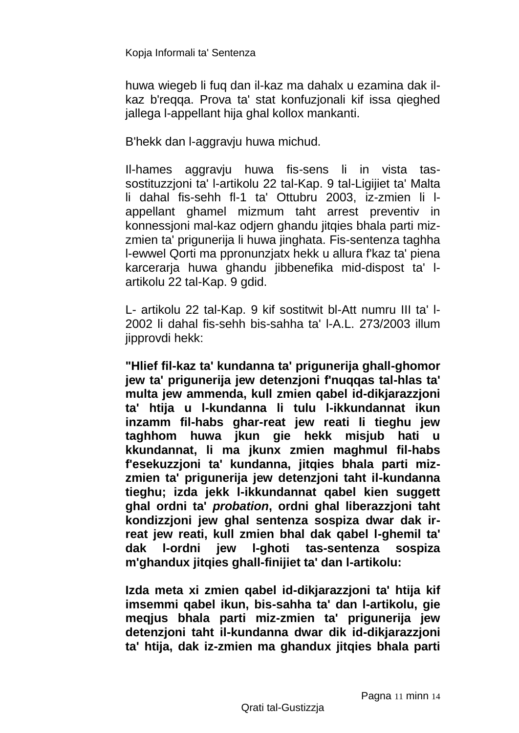huwa wiegeb li fuq dan il-kaz ma dahalx u ezamina dak ilkaz b'reqqa. Prova ta' stat konfuzjonali kif issa qieghed jallega l-appellant hija ghal kollox mankanti.

B'hekk dan l-aggravju huwa michud.

Il-hames aggravju huwa fis-sens li in vista tassostituzzjoni ta' l-artikolu 22 tal-Kap. 9 tal-Ligijiet ta' Malta li dahal fis-sehh fl-1 ta' Ottubru 2003, iz-zmien li lappellant ghamel mizmum taht arrest preventiv in konnessjoni mal-kaz odjern ghandu jitqies bhala parti mizzmien ta' prigunerija li huwa jinghata. Fis-sentenza taghha l-ewwel Qorti ma ppronunzjatx hekk u allura f'kaz ta' piena karcerarja huwa ghandu jibbenefika mid-dispost ta' lartikolu 22 tal-Kap. 9 gdid.

L- artikolu 22 tal-Kap. 9 kif sostitwit bl-Att numru III ta' l-2002 li dahal fis-sehh bis-sahha ta' l-A.L. 273/2003 illum jipprovdi hekk:

**"Hlief fil-kaz ta' kundanna ta' prigunerija ghall-ghomor jew ta' prigunerija jew detenzjoni f'nuqqas tal-hlas ta' multa jew ammenda, kull zmien qabel id-dikjarazzjoni ta' htija u l-kundanna li tulu l-ikkundannat ikun inzamm fil-habs ghar-reat jew reati li tieghu jew taghhom huwa jkun gie hekk misjub hati u kkundannat, li ma jkunx zmien maghmul fil-habs f'esekuzzjoni ta' kundanna, jitqies bhala parti mizzmien ta' prigunerija jew detenzjoni taht il-kundanna tieghu; izda jekk l-ikkundannat qabel kien suggett ghal ordni ta'** *probation***, ordni ghal liberazzjoni taht kondizzjoni jew ghal sentenza sospiza dwar dak irreat jew reati, kull zmien bhal dak qabel l-ghemil ta' dak l-ordni jew l-ghoti tas-sentenza sospiza m'ghandux jitqies ghall-finijiet ta' dan l-artikolu:**

**Izda meta xi zmien qabel id-dikjarazzjoni ta' htija kif imsemmi qabel ikun, bis-sahha ta' dan l-artikolu, gie meqjus bhala parti miz-zmien ta' prigunerija jew detenzjoni taht il-kundanna dwar dik id-dikjarazzjoni ta' htija, dak iz-zmien ma ghandux jitqies bhala parti**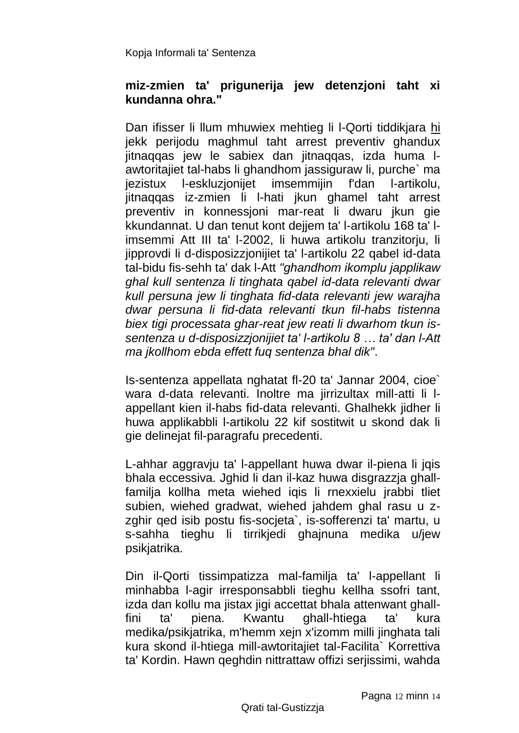#### **miz-zmien ta' prigunerija jew detenzjoni taht xi kundanna ohra."**

Dan ifisser li llum mhuwiex mehtieg li l-Qorti tiddikjara hi jekk perijodu maghmul taht arrest preventiv ghandux jitnaqqas jew le sabiex dan jitnaqqas, izda huma lawtoritajiet tal-habs li ghandhom jassiguraw li, purche` ma jezistux l-eskluzjonijet imsemmijin f'dan l-artikolu, jitnaqqas iz-zmien li l-hati jkun ghamel taht arrest preventiv in konnessjoni mar-reat li dwaru jkun gie kkundannat. U dan tenut kont dejjem ta' l-artikolu 168 ta' limsemmi Att III ta' l-2002, li huwa artikolu tranzitorju, li jipprovdi li d-disposizzjonijiet ta' l-artikolu 22 qabel id-data tal-bidu fis-sehh ta' dak l-Att *"ghandhom ikomplu japplikaw ghal kull sentenza li tinghata qabel id-data relevanti dwar kull persuna jew li tinghata fid-data relevanti jew warajha dwar persuna li fid-data relevanti tkun fil-habs tistenna biex tigi processata ghar-reat jew reati li dwarhom tkun issentenza u d-disposizzjonijiet ta' l-artikolu 8 … ta' dan l-Att ma jkollhom ebda effett fuq sentenza bhal dik"*.

Is-sentenza appellata nghatat fl-20 ta' Jannar 2004, cioe` wara d-data relevanti. Inoltre ma jirrizultax mill-atti li lappellant kien il-habs fid-data relevanti. Ghalhekk jidher li huwa applikabbli l-artikolu 22 kif sostitwit u skond dak li gie delinejat fil-paragrafu precedenti.

L-ahhar aggravju ta' l-appellant huwa dwar il-piena li jqis bhala eccessiva. Jghid li dan il-kaz huwa disgrazzja ghallfamilja kollha meta wiehed iqis li rnexxielu jrabbi tliet subien, wiehed gradwat, wiehed jahdem ghal rasu u zzghir ged isib postu fis-societa`, is-sofferenzi ta' martu, u s-sahha tieghu li tirrikjedi ghajnuna medika u/jew psikjatrika.

Din il-Qorti tissimpatizza mal-familja ta' l-appellant li minhabba l-agir irresponsabbli tieghu kellha ssofri tant, izda dan kollu ma jistax jigi accettat bhala attenwant ghallfini ta' piena. Kwantu ghall-htiega ta' kura medika/psikjatrika, m'hemm xejn x'izomm milli jinghata tali kura skond il-htiega mill-awtoritajiet tal-Facilita` Korrettiva ta' Kordin. Hawn qeghdin nittrattaw offizi serjissimi, wahda

Qrati tal-Gustizzja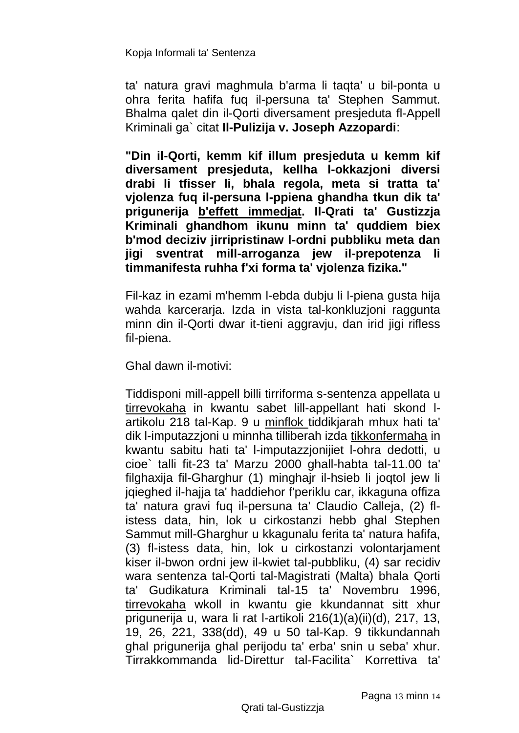ta' natura gravi maghmula b'arma li taqta' u bil-ponta u ohra ferita hafifa fuq il-persuna ta' Stephen Sammut. Bhalma qalet din il-Qorti diversament presjeduta fl-Appell Kriminali ga` citat **Il-Pulizija v. Joseph Azzopardi**:

**"Din il-Qorti, kemm kif illum presjeduta u kemm kif diversament presjeduta, kellha l-okkazjoni diversi drabi li tfisser li, bhala regola, meta si tratta ta' vjolenza fuq il-persuna l-ppiena ghandha tkun dik ta' prigunerija b'effett immedjat. Il-Qrati ta' Gustizzja Kriminali ghandhom ikunu minn ta' quddiem biex b'mod deciziv jirripristinaw l-ordni pubbliku meta dan jigi sventrat mill-arroganza jew il-prepotenza li timmanifesta ruhha f'xi forma ta' vjolenza fizika."**

Fil-kaz in ezami m'hemm l-ebda dubju li l-piena gusta hija wahda karcerarja. Izda in vista tal-konkluzjoni raggunta minn din il-Qorti dwar it-tieni aggravju, dan irid jigi rifless fil-piena.

Ghal dawn il-motivi:

Tiddisponi mill-appell billi tirriforma s-sentenza appellata u tirrevokaha in kwantu sabet lill-appellant hati skond lartikolu 218 tal-Kap. 9 u minflok tiddikjarah mhux hati ta' dik l-imputazzjoni u minnha tilliberah izda tikkonfermaha in kwantu sabitu hati ta' l-imputazzjonijiet l-ohra dedotti, u cioe` talli fit-23 ta' Marzu 2000 ghall-habta tal-11.00 ta' filghaxija fil-Gharghur (1) minghajr il-hsieb li joqtol jew li jqieghed il-hajja ta' haddiehor f'periklu car, ikkaguna offiza ta' natura gravi fuq il-persuna ta' Claudio Calleja, (2) flistess data, hin, lok u cirkostanzi hebb ghal Stephen Sammut mill-Gharghur u kkagunalu ferita ta' natura hafifa, (3) fl-istess data, hin, lok u cirkostanzi volontarjament kiser il-bwon ordni jew il-kwiet tal-pubbliku, (4) sar recidiv wara sentenza tal-Qorti tal-Magistrati (Malta) bhala Qorti ta' Gudikatura Kriminali tal-15 ta' Novembru 1996, tirrevokaha wkoll in kwantu gie kkundannat sitt xhur prigunerija u, wara li rat l-artikoli 216(1)(a)(ii)(d), 217, 13, 19, 26, 221, 338(dd), 49 u 50 tal-Kap. 9 tikkundannah ghal prigunerija ghal perijodu ta' erba' snin u seba' xhur. Tirrakkommanda lid-Direttur tal-Facilita` Korrettiva ta'